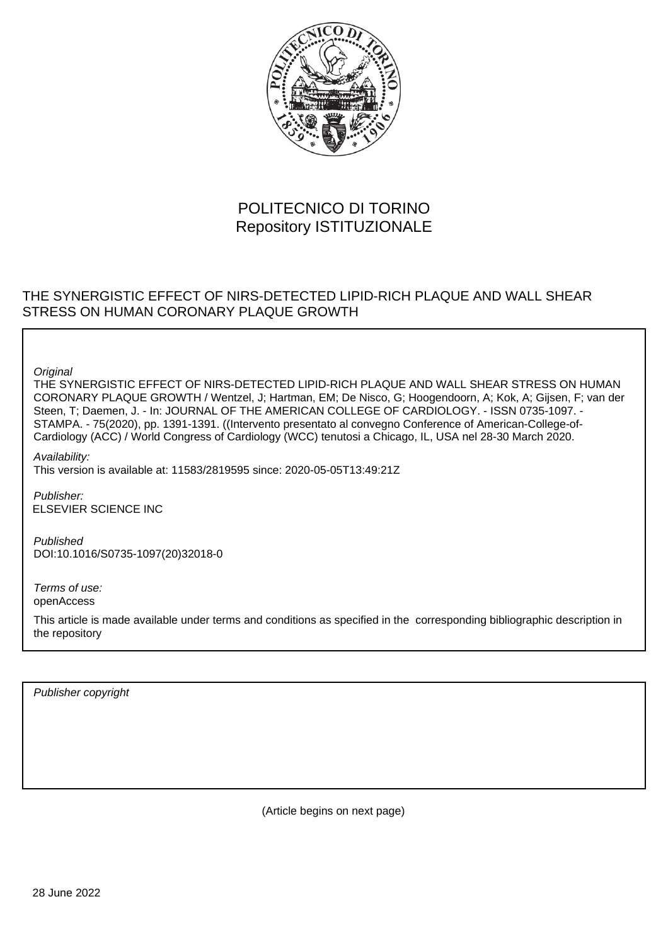

## POLITECNICO DI TORINO Repository ISTITUZIONALE

## THE SYNERGISTIC EFFECT OF NIRS-DETECTED LIPID-RICH PLAQUE AND WALL SHEAR STRESS ON HUMAN CORONARY PLAQUE GROWTH

**Original** 

THE SYNERGISTIC EFFECT OF NIRS-DETECTED LIPID-RICH PLAQUE AND WALL SHEAR STRESS ON HUMAN CORONARY PLAQUE GROWTH / Wentzel, J; Hartman, EM; De Nisco, G; Hoogendoorn, A; Kok, A; Gijsen, F; van der Steen, T; Daemen, J. - In: JOURNAL OF THE AMERICAN COLLEGE OF CARDIOLOGY. - ISSN 0735-1097. - STAMPA. - 75(2020), pp. 1391-1391. ((Intervento presentato al convegno Conference of American-College-of-Cardiology (ACC) / World Congress of Cardiology (WCC) tenutosi a Chicago, IL, USA nel 28-30 March 2020.

Availability: This version is available at: 11583/2819595 since: 2020-05-05T13:49:21Z

Publisher: ELSEVIER SCIENCE INC

Published DOI:10.1016/S0735-1097(20)32018-0

Terms of use: openAccess

This article is made available under terms and conditions as specified in the corresponding bibliographic description in the repository

Publisher copyright

(Article begins on next page)